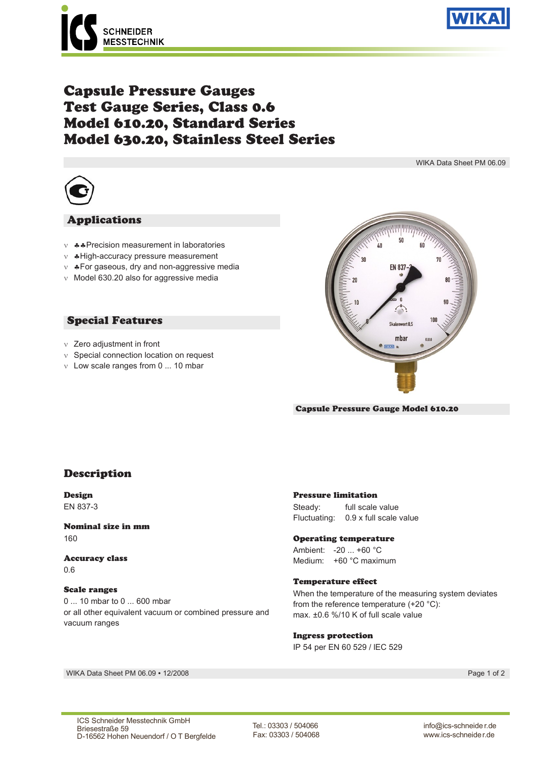



# Capsule Pressure Gauges Test Gauge Series, Class 0.6 Model 610.20, Standard Series Model 630.20, Stainless Steel Series

WIKA Data Sheet PM 06.09



#### Applications

- $v$   $\clubsuit$  Precision measurement in laboratories
- $\vee$   $\bullet$  High-accuracy pressure measurement
- $v$   $\clubsuit$  For gaseous, dry and non-aggressive media
- $\vee$  Model 630.20 also for aggressive media

### Special Features

- $\vee$  Zero adjustment in front
- $\vee$  Special connection location on request
- $v$  Low scale ranges from 0 ... 10 mbar



#### Capsule Pressure Gauge Model 610.20

## Description

Design EN 837-3

Nominal size in mm 160

Accuracy class 0.6

#### Scale ranges

0 ... 10 mbar to 0 ... 600 mbar or all other equivalent vacuum or combined pressure and vacuum ranges

#### Pressure limitation

Steady: full scale value Fluctuating: 0.9 x full scale value

#### Operating temperature

Ambient: -20 ... +60 °C Medium: +60 °C maximum

#### Temperature effect

When the temperature of the measuring system deviates from the reference temperature (+20 °C): max. ±0.6 %/10 K of full scale value

#### Ingress protection

IP 54 per EN 60 529 / lEC 529

WIKA Data Sheet PM 06.09 ∙ 12/2008 Page 1 of 2

Tel.: 03303 / 504066 Fax: 03303 / 504068